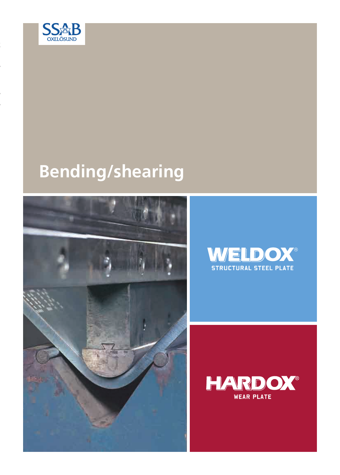

# **Bending/shearing**





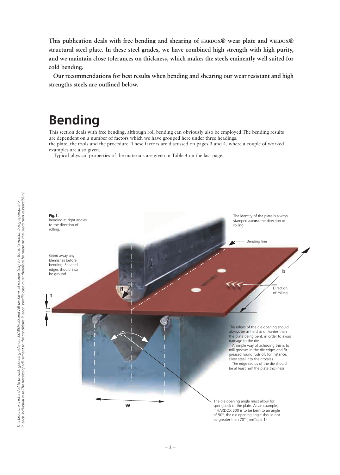**This publication deals with free bending and shearing of HARDOX® wear plate and WELDOX® structural steel plate. In these steel grades, we have combined high strength with high purity, and we maintain close tolerances on thickness, which makes the steels eminently well suited for cold bending.**

**Our recommendations for best results when bending and shearing our wear resistant and high strengths steels are outlined below.** 

### **Bending**

This section deals with free bending, although roll bending can obviously also be employed.The bending results are dependent on a number of factors which we have grouped here under three headings: the plate, the tools and the procedure. These factors are discussed on pages 3 and 4, where a couple of worked examples are also given.

Typical physical properties of the materials are given in Table 4 on the last page.

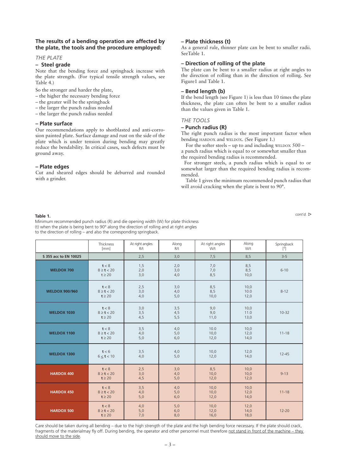#### **The results of a bending operation are affected by the plate, the tools and the procedure employed:**

#### *THE PLATE*

#### **– Steel grade**

Note that the bending force and springback increase with the plate strength. (For typical tensile strength values, see Table 4.)

So the stronger and harder the plate,

- the higher the necessary bending force
- the greater will be the springback
- the larger the punch radius needed
- the larger the punch radius needed

#### **– Plate surface**

Our recommendations apply to shotblasted and anti-corrosion painted plate. Surface damage and rust on the side of the plate which is under tension during bending may greatly reduce the bendability. In critical cases, such defects must be ground away.

#### **– Plate edges**

Cut and sheared edges should be deburred and rounded with a grinder.

#### **– Plate thickness (t)**

As a general rule, thinner plate can be bent to smaller radii. SeeTable 1.

#### **– Direction of rolling of the plate**

The plate can be bent to a smaller radius at right angles to the direction of rolling than in the direction of rolling. See Figure1 and Table 1.

#### **– Bend length (b)**

If the bend length (see Figure 1) is less than 10 times the plate thickness, the plate can often be bent to a smaller radius than the values given in Table 1.

#### *THE TOOLS*

#### **– Punch radius (R)**

The right punch radius is the most important factor when bending HARDOX and WELDOX. (See Figure 1.)

For the softer steels – up to and including WELDOX  $500$ a punch radius which is equal to or somewhat smaller than the required bending radius is recommended.

For stronger steels, a punch radius which is equal to or somewhat larger than the required bending radius is recommended.

Table 1 gives the minimum recommended punch radius that will avoid cracking when the plate is bent to 90°.

*cont´d.* **Table 1.** Minimum recommended punch radius (R) and die opening width (W) for plate thickness (t) when the plate is being bent to 90° along the direction of rolling and at right angles to the direction of rolling – and also the corresponding springback.

|                       | Thickness<br>[mm]                      | At right angles<br>R/t | Along<br>R/t      | At right angles<br>W/t | Along<br>W/t         | Springback<br>$[^{\circ}]$ |
|-----------------------|----------------------------------------|------------------------|-------------------|------------------------|----------------------|----------------------------|
| S 355 acc to EN 10025 |                                        | 2,5                    | 3,0               | 7,5                    | 8,5                  | $3 - 5$                    |
| <b>WELDOX 700</b>     | t < 8<br>$8 \ge t < 20$<br>$t \geq 20$ | 1,5<br>2,0<br>3,0      | 2,0<br>3,0<br>4,0 | 7,0<br>7,0<br>8,5      | 8,5<br>8,5<br>10,0   | $6 - 10$                   |
| <b>WELDOX 900/960</b> | t < 8<br>$8 \ge t < 20$<br>$t \geq 20$ | 2,5<br>3,0<br>4,0      | 3,0<br>4,0<br>5,0 | 8,5<br>8,5<br>10,0     | 10,0<br>10.0<br>12,0 | $8 - 12$                   |
| <b>WELDOX 1030</b>    | t < 8<br>$8 \ge t < 20$<br>$t \geq 20$ | 3,0<br>3,5<br>4,5      | 3,5<br>4,5<br>5,5 | 9,0<br>9,0<br>11,0     | 10,0<br>11.0<br>13,0 | $10 - 32$                  |
| <b>WELDOX 1100</b>    | t < 8<br>$8 \ge t < 20$<br>$t \geq 20$ | 3,5<br>4,0<br>5,0      | 4,0<br>5,0<br>6,0 | 10.0<br>10,0<br>12,0   | 10,0<br>12,0<br>14,0 | $11 - 18$                  |
| <b>WELDOX 1300</b>    | t < 6<br>$6 \le t < 10$                | 3,5<br>4,0             | 4,0<br>5,0        | 10,0<br>12,0           | 12,0<br>14,0         | $12 - 45$                  |
| <b>HARDOX 400</b>     | t < 8<br>$8 \ge t < 20$<br>$t \geq 20$ | 2,5<br>3,0<br>4,5      | 3,0<br>4,0<br>5,0 | 8,5<br>10,0<br>12,0    | 10,0<br>10,0<br>12,0 | $9 - 13$                   |
| <b>HARDOX 450</b>     | t < 8<br>$8 \ge t < 20$<br>$t \geq 20$ | 3,5<br>4,0<br>5,0      | 4,0<br>5,0<br>6,0 | 10,0<br>10,0<br>12,0   | 10,0<br>12,0<br>14,0 | $11 - 18$                  |
| <b>HARDOX 500</b>     | t < 8<br>$8 \ge t < 20$<br>$t \geq 20$ | 4,0<br>5,0<br>7,0      | 5,0<br>6,0<br>8,0 | 10,0<br>12,0<br>16,0   | 12,0<br>14,0<br>18,0 | $12 - 20$                  |

Care should be taken during all bending – due to the high strength of the plate and the high bending force necessary. If the plate should crack, fragments of the materialmay fly off. During bending, the operator and other personnel must therefore not stand in front of the machine – they should move to the side.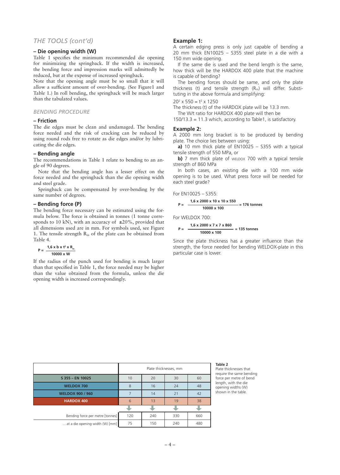### *THE TOOLS (cont'd)*

#### **– Die opening width (W)**

Table 1 specifies the minimum recommended die opening for minimizing the springback. If the width is increased, the bending force and impression marks will admittedly be reduced, but at the expense of increased springback.

Note that the opening angle must be so small that it will allow a sufficient amount of over-bending. (See Figure1 and Table 1.) In roll bending, the springback will be much larger than the tabulated values.

#### *BENDING PROCEDURE*

#### **– Friction**

The die edges must be clean and undamaged. The bending force needed and the risk of cracking can be reduced by using round rods free to rotate as die edges and/or by lubricating the die edges.

#### **– Bending angle**

The recommendations in Table 1 relate to bending to an angle of 90 degrees.

Note that the bending angle has a lesser effect on the force needed and the springback than the die opening width and steel grade.

Springback can be compensated by over-bending by the same number of degrees.

#### **– Bending force (P)**

The bending force necessary can be estimated using the formula below. The force is obtained in tonnes (1 tonne corresponds to 10 kN), with an accuracy of  $\pm 20\%$ , provided that all dimensions used are in mm. For symbols used, see Figure 1. The tensile strength  $R_m$  of the plate can be obtained from Table 4.

$$
P = \frac{1.6 \times b \times t^2 \times R_m}{10000 \times W}
$$

If the radius of the punch used for bending is much larger than that specified in Table 1, the force needed may be higher than the value obtained from the formula, unless the die opening width is increased correspondingly.

#### **Example 1:**

A certain edging press is only just capable of bending a 20 mm thick EN10025 – S355 steel plate in a die with a 150 mm wide opening.

If the same die is used and the bend length is the same, how thick will be the HARDOX 400 plate that the machine is capable of bending?

The bending forces should be same, and only the plate thickness (t) and tensile strength  $(R_m)$  will differ. Substituting in the above formula and simplifying:

 $20^2 \times 550 = t^2 \times 1250$ 

The thickness (t) of the HARDOX plate will be 13.3 mm.

The W/t ratio for HARDOX 400 plate will then be

 $150/13.3 = 11.3$  which, according to Table 1, is satisfactory.

#### **Example 2:**

A 2000 mm long bracket is to be produced by bending plate. The choice lies between using:

**a)** 10 mm thick plate of EN10025 – S355 with a typical tensile strength of 550 MPa, or

**b)** 7 mm thick plate of WELDOX 700 with a typical tensile strength of 860 MPa

In both cases, an existing die with a 100 mm wide opening is to be used. What press force will be needed for each steel grade?

For EN10025 – S355:

$$
P = \frac{1,6 \times 2000 \times 10 \times 10 \times 550}{10000 \times 100} = 176 \text{ tonnes}
$$

For WELDOX 700:

$$
P = \frac{1,6 \times 2000 \times 7 \times 7 \times 860}{10000 \times 100} = 135 \text{ tonnes}
$$

Since the plate thickness has a greater influence than the strength, the force needed for bending WELDOX-plate in this particular case is lower.

|                                  | Plate thicknesses, mm |     |     |     |
|----------------------------------|-----------------------|-----|-----|-----|
| S 355 - EN 10025                 | 10                    | 20  | 30  | 60  |
| <b>WELDOX 700</b>                | 8                     | 16  | 24  | 48  |
| <b>WELDOX 900 / 960</b>          |                       | 14  | 21  | 42  |
| <b>HARDOX 400</b>                | 6                     | 13  | 19  | 38  |
|                                  |                       |     |     |     |
| Bending force per metre [tonnes] | 120                   | 240 | 330 | 660 |
| at a die opening width (W) [mm]  | 75                    | 150 | 240 | 480 |

#### **Table 2**

Plate thicknesses that require the same bending force per metre of bend length, with the die opening widths (W) shown in the table.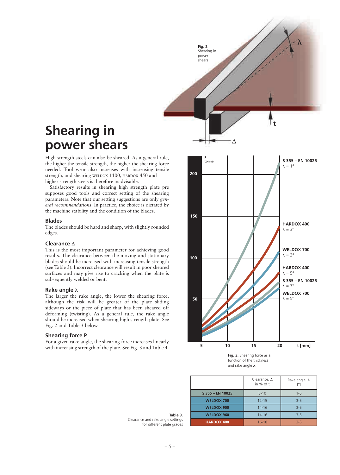## **Shearing in power shears**

High strength steels can also be sheared. As a general rule, the higher the tensile strength, the higher the shearing force needed. Tool wear also increases with increasing tensile strength, and shearing WELDOX 1100, HARDOX 450 and higher strength steels is therefore inadvisable.

Satisfactory results in shearing high strength plate pre supposes good tools and correct setting of the shearing parameters. Note that our setting suggestions are only *general recommendations*. In practice, the choice is dictated by the machine stability and the condition of the blades.

#### **Blades**

The blades should be hard and sharp, with slightly rounded edges.

#### **Clearance** ∆

This is the most important parameter for achieving good results. The clearance between the moving and stationary blades should be increased with increasing tensile strength (see Table 3). Incorrect clearance will result in poor sheared surfaces and may give rise to cracking when the plate is subsequently welded or bent.

#### **Rake angle**  $\lambda$

The larger the rake angle, the lower the shearing force, although the risk will be greater of the plate sliding sideways or the piece of plate that has been sheared off deforming (twisting). As a general rule, the rake angle should be increased when shearing high strength plate. See Fig. 2 and Table 3 below.

#### **Shearing force P**

For a given rake angle, the shearing force increases linearly with increasing strength of the plate. See Fig. 3 and Table 4.



function of the thickness and rake angle  $\lambda$ 

|                   | Clearance, $\Delta$<br>in % of t | Rake angle, $\lambda$<br>[0] |
|-------------------|----------------------------------|------------------------------|
| S 355 - EN 10025  | $8 - 10$                         | $1 - 5$                      |
| <b>WELDOX 700</b> | $12 - 15$                        | $3 - 5$                      |
| <b>WELDOX 900</b> | $14 - 16$                        | $3 - 5$                      |
| <b>WELDOX 960</b> | $14 - 16$                        | $3 - 5$                      |
| <b>HARDOX 400</b> | $16 - 18$                        | $3 - 5$                      |

**Table 3.** Clearance and rake angle settings for different plate grades